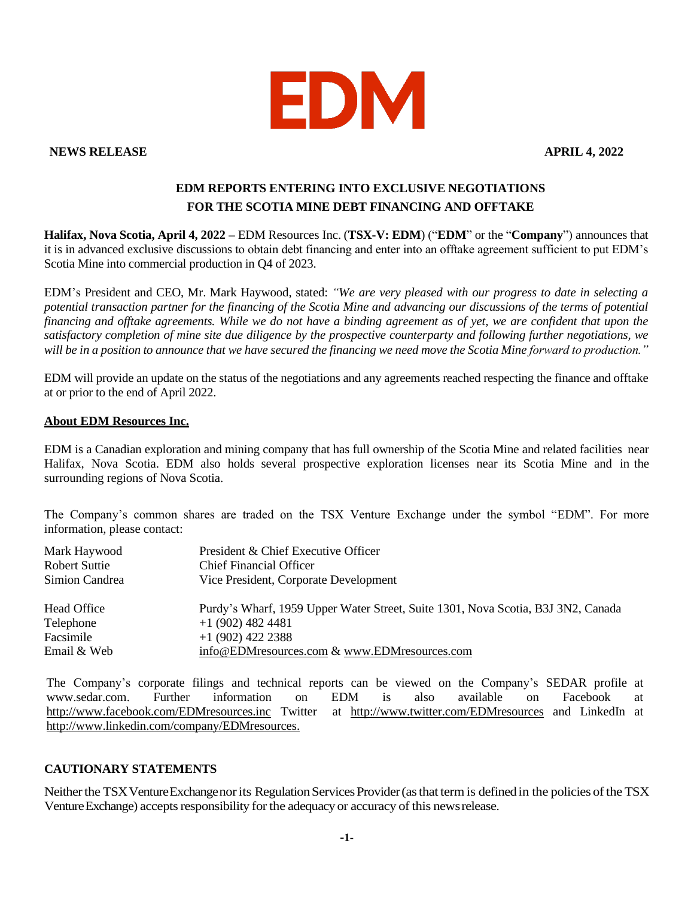

**NEWS RELEASE APRIL 4, 2022**

## **EDM REPORTS ENTERING INTO EXCLUSIVE NEGOTIATIONS FOR THE SCOTIA MINE DEBT FINANCING AND OFFTAKE**

**Halifax, Nova Scotia, April 4, 2022 –** EDM Resources Inc. (**TSX-V: EDM**) ("**EDM**" or the "**Company**") announces that it is in advanced exclusive discussions to obtain debt financing and enter into an offtake agreement sufficient to put EDM's Scotia Mine into commercial production in Q4 of 2023.

EDM's President and CEO, Mr. Mark Haywood, stated: *"We are very pleased with our progress to date in selecting a potential transaction partner for the financing of the Scotia Mine and advancing our discussions of the terms of potential financing and offtake agreements. While we do not have a binding agreement as of yet, we are confident that upon the satisfactory completion of mine site due diligence by the prospective counterparty and following further negotiations, we will be in a position to announce that we have secured the financing we need move the Scotia Mine forward to production."* 

EDM will provide an update on the status of the negotiations and any agreements reached respecting the finance and offtake at or prior to the end of April 2022.

## **About EDM Resources Inc.**

EDM is a Canadian exploration and mining company that has full ownership of the Scotia Mine and related facilities near Halifax, Nova Scotia. EDM also holds several prospective exploration licenses near its Scotia Mine and in the surrounding regions of Nova Scotia.

The Company's common shares are traded on the TSX Venture Exchange under the symbol "EDM". For more information, please contact:

| Mark Haywood   | President & Chief Executive Officer                                              |
|----------------|----------------------------------------------------------------------------------|
| Robert Suttie  | <b>Chief Financial Officer</b>                                                   |
| Simion Candrea | Vice President, Corporate Development                                            |
| Head Office    | Purdy's Wharf, 1959 Upper Water Street, Suite 1301, Nova Scotia, B3J 3N2, Canada |
| Telephone      | $+1$ (902) 482 4481                                                              |
| Facsimile      | $+1(902)$ 422 2388                                                               |
| Email & Web    | info@EDMresources.com & www.EDMresources.com                                     |

The Company's corporate filings and technical reports can be viewed on the Company's SEDAR profile at [www.sedar.com.](http://www.sedar.com/) Further information on EDM is also available on Facebook at <http://www.facebook.com/EDMresources.inc> Twitter at <http://www.twitter.com/EDMresources> and LinkedIn at [http://www.linkedin.com/company/EDMresources.](http://www.linkedin.com/company/EDMresources)

## **CAUTIONARY STATEMENTS**

Neither the TSX Venture Exchange nor its Regulation Services Provider (as that term is defined in the policies of the TSX Venture Exchange) accepts responsibility for the adequacy or accuracy of this news release.